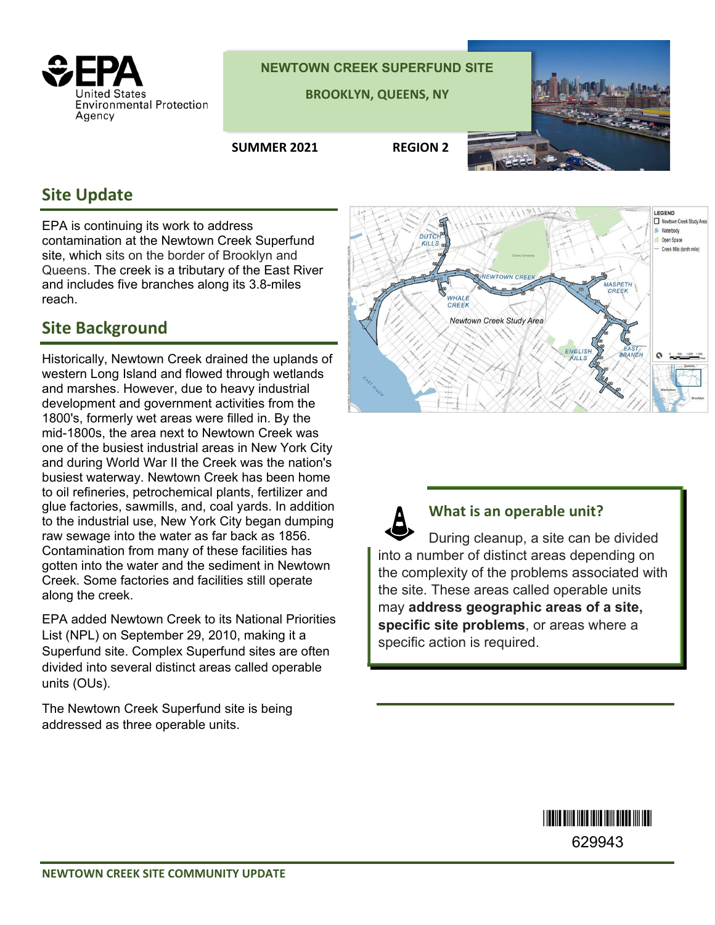

**NEWTOWN CREEK SUPERFUND SITE**

**BROOKLYN, QUEENS, NY** 

**SUMMER 2021 REGION 2**



## **Site Update**

EPA is continuing its work to address contamination at the Newtown Creek Superfund site, which sits on the border of Brooklyn and Queens. The creek is a tributary of the East River and includes five branches along its 3.8-miles reach.

## **Site Background**

Historically, Newtown Creek drained the uplands of western Long Island and flowed through wetlands and marshes. However, due to heavy industrial development and government activities from the 1800's, formerly wet areas were filled in. By the mid-1800s, the area next to Newtown Creek was one of the busiest industrial areas in New York City and during World War II the Creek was the nation's busiest waterway. Newtown Creek has been home to oil refineries, petrochemical plants, fertilizer and glue factories, sawmills, and, coal yards. In addition to the industrial use, New York City began dumping raw sewage into the water as far back as 1856. Contamination from many of these facilities has gotten into the water and the sediment in Newtown Creek. Some factories and facilities still operate along the creek.

EPA added Newtown Creek to its National Priorities List (NPL) on September 29, 2010, making it a Superfund site. Complex Superfund sites are often divided into several distinct areas called operable units (OUs).

The Newtown Creek Superfund site is being addressed as three operable units.



**What is an operable unit?** During cleanup, a site can be divided into a number of distinct areas depending on the complexity of the problems associated with the site. These areas called operable units may **address geographic areas of a site, specific site problems**, or areas where a specific action is required.

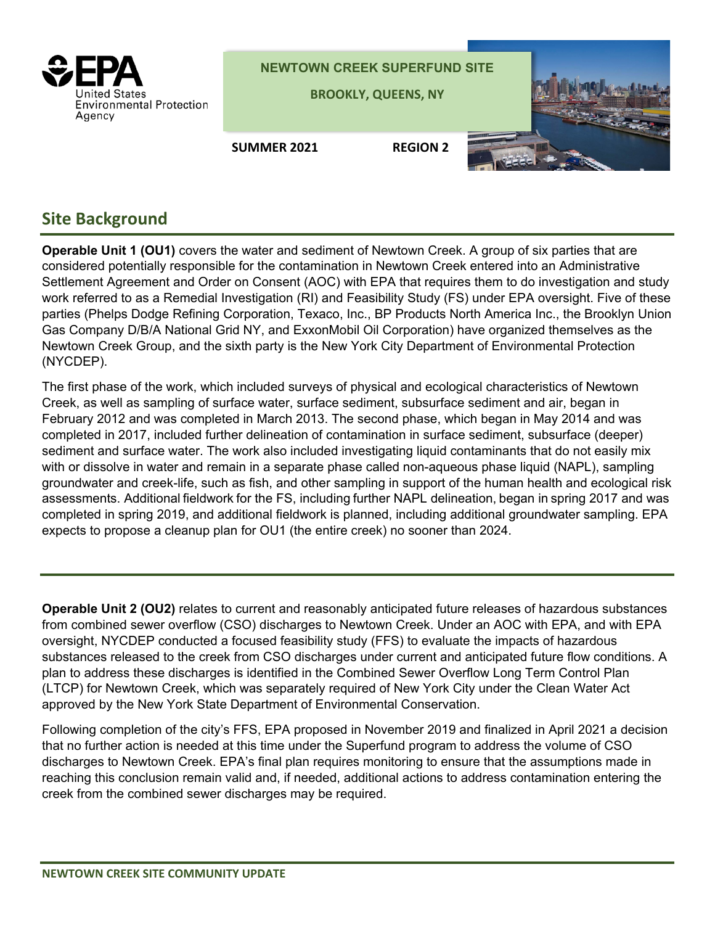

## **Site Background**

**Operable Unit 1 (OU1)** covers the water and sediment of Newtown Creek. A group of six parties that are considered potentially responsible for the contamination in Newtown Creek entered into an Administrative Settlement Agreement and Order on Consent (AOC) with EPA that requires them to do investigation and study work referred to as a Remedial Investigation (RI) and Feasibility Study (FS) under EPA oversight. Five of these parties (Phelps Dodge Refining Corporation, Texaco, Inc., BP Products North America Inc., the Brooklyn Union Gas Company D/B/A National Grid NY, and ExxonMobil Oil Corporation) have organized themselves as the Newtown Creek Group, and the sixth party is the New York City Department of Environmental Protection (NYCDEP).

The first phase of the work, which included surveys of physical and ecological characteristics of Newtown Creek, as well as sampling of surface water, surface sediment, subsurface sediment and air, began in February 2012 and was completed in March 2013. The second phase, which began in May 2014 and was completed in 2017, included further delineation of contamination in surface sediment, subsurface (deeper) sediment and surface water. The work also included investigating liquid contaminants that do not easily mix with or dissolve in water and remain in a separate phase called non-aqueous phase liquid (NAPL), sampling groundwater and creek-life, such as fish, and other sampling in support of the human health and ecological risk assessments. Additional fieldwork for the FS, including further NAPL delineation, began in spring 2017 and was completed in spring 2019, and additional fieldwork is planned, including additional groundwater sampling. EPA expects to propose a cleanup plan for OU1 (the entire creek) no sooner than 2024.

**Operable Unit 2 (OU2)** relates to current and reasonably anticipated future releases of hazardous substances from combined sewer overflow (CSO) discharges to Newtown Creek. Under an AOC with EPA, and with EPA oversight, NYCDEP conducted a focused feasibility study (FFS) to evaluate the impacts of hazardous substances released to the creek from CSO discharges under current and anticipated future flow conditions. A plan to address these discharges is identified in the Combined Sewer Overflow Long Term Control Plan (LTCP) for Newtown Creek, which was separately required of New York City under the Clean Water Act approved by the New York State Department of Environmental Conservation.

Following completion of the city's FFS, EPA proposed in November 2019 and finalized in April 2021 a decision that no further action is needed at this time under the Superfund program to address the volume of CSO discharges to Newtown Creek. EPA's final plan requires monitoring to ensure that the assumptions made in reaching this conclusion remain valid and, if needed, additional actions to address contamination entering the creek from the combined sewer discharges may be required.